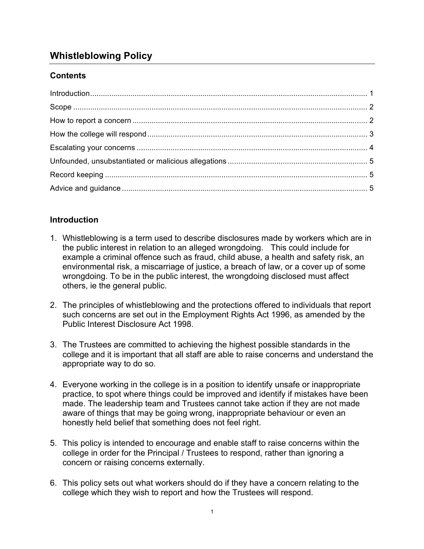# **Whistleblowing Policy**

# **Contents**

## **Introduction**

- 1. Whistleblowing is a term used to describe disclosures made by workers which are in the public interest in relation to an alleged wrongdoing. This could include for example a criminal offence such as fraud, child abuse, a health and safety risk, an environmental risk, a miscarriage of justice, a breach of law, or a cover up of some wrongdoing. To be in the public interest, the wrongdoing disclosed must affect others, ie the general public.
- 2. The principles of whistleblowing and the protections offered to individuals that report such concerns are set out in the Employment Rights Act 1996, as amended by the Public Interest Disclosure Act 1998.
- 3. The Trustees are committed to achieving the highest possible standards in the college and it is important that all staff are able to raise concerns and understand the appropriate way to do so.
- 4. Everyone working in the college is in a position to identify unsafe or inappropriate practice, to spot where things could be improved and identify if mistakes have been made. The leadership team and Trustees cannot take action if they are not made aware of things that may be going wrong, inappropriate behaviour or even an honestly held belief that something does not feel right.
- 5. This policy is intended to encourage and enable staff to raise concerns within the college in order for the Principal / Trustees to respond, rather than ignoring a concern or raising concerns externally.
- 6. This policy sets out what workers should do if they have a concern relating to the college which they wish to report and how the Trustees will respond.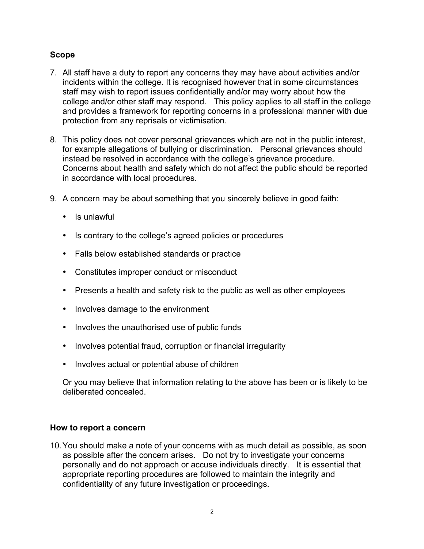## **Scope**

- 7. All staff have a duty to report any concerns they may have about activities and/or incidents within the college. It is recognised however that in some circumstances staff may wish to report issues confidentially and/or may worry about how the college and/or other staff may respond. This policy applies to all staff in the college and provides a framework for reporting concerns in a professional manner with due protection from any reprisals or victimisation.
- 8. This policy does not cover personal grievances which are not in the public interest, for example allegations of bullying or discrimination. Personal grievances should instead be resolved in accordance with the college's grievance procedure. Concerns about health and safety which do not affect the public should be reported in accordance with local procedures.
- 9. A concern may be about something that you sincerely believe in good faith:
	- Is unlawful
	- Is contrary to the college's agreed policies or procedures
	- Falls below established standards or practice
	- Constitutes improper conduct or misconduct
	- Presents a health and safety risk to the public as well as other employees
	- Involves damage to the environment
	- Involves the unauthorised use of public funds
	- Involves potential fraud, corruption or financial irregularity
	- Involves actual or potential abuse of children

Or you may believe that information relating to the above has been or is likely to be deliberated concealed.

## **How to report a concern**

10.You should make a note of your concerns with as much detail as possible, as soon as possible after the concern arises. Do not try to investigate your concerns personally and do not approach or accuse individuals directly. It is essential that appropriate reporting procedures are followed to maintain the integrity and confidentiality of any future investigation or proceedings.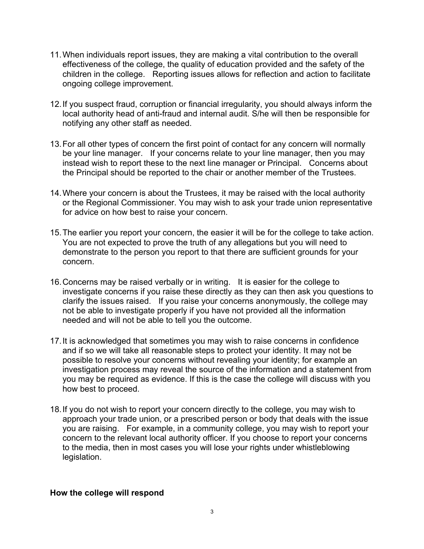- 11.When individuals report issues, they are making a vital contribution to the overall effectiveness of the college, the quality of education provided and the safety of the children in the college. Reporting issues allows for reflection and action to facilitate ongoing college improvement.
- 12.If you suspect fraud, corruption or financial irregularity, you should always inform the local authority head of anti-fraud and internal audit. S/he will then be responsible for notifying any other staff as needed.
- 13.For all other types of concern the first point of contact for any concern will normally be your line manager. If your concerns relate to your line manager, then you may instead wish to report these to the next line manager or Principal. Concerns about the Principal should be reported to the chair or another member of the Trustees.
- 14.Where your concern is about the Trustees, it may be raised with the local authority or the Regional Commissioner. You may wish to ask your trade union representative for advice on how best to raise your concern.
- 15.The earlier you report your concern, the easier it will be for the college to take action. You are not expected to prove the truth of any allegations but you will need to demonstrate to the person you report to that there are sufficient grounds for your concern.
- 16.Concerns may be raised verbally or in writing. It is easier for the college to investigate concerns if you raise these directly as they can then ask you questions to clarify the issues raised. If you raise your concerns anonymously, the college may not be able to investigate properly if you have not provided all the information needed and will not be able to tell you the outcome.
- 17.It is acknowledged that sometimes you may wish to raise concerns in confidence and if so we will take all reasonable steps to protect your identity. It may not be possible to resolve your concerns without revealing your identity; for example an investigation process may reveal the source of the information and a statement from you may be required as evidence. If this is the case the college will discuss with you how best to proceed.
- 18.If you do not wish to report your concern directly to the college, you may wish to approach your trade union, or a prescribed person or body that deals with the issue you are raising. For example, in a community college, you may wish to report your concern to the relevant local authority officer. If you choose to report your concerns to the media, then in most cases you will lose your rights under whistleblowing legislation.

#### **How the college will respond**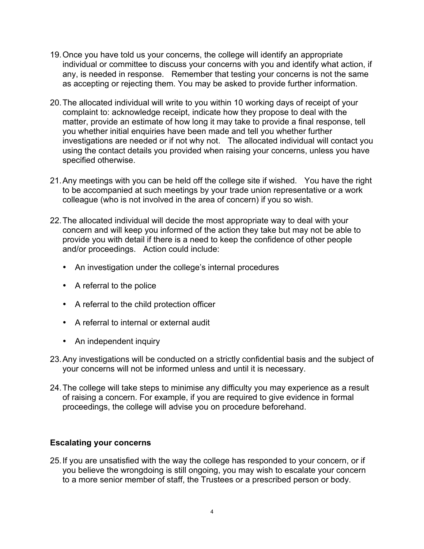- 19.Once you have told us your concerns, the college will identify an appropriate individual or committee to discuss your concerns with you and identify what action, if any, is needed in response. Remember that testing your concerns is not the same as accepting or rejecting them. You may be asked to provide further information.
- 20.The allocated individual will write to you within 10 working days of receipt of your complaint to: acknowledge receipt, indicate how they propose to deal with the matter, provide an estimate of how long it may take to provide a final response, tell you whether initial enquiries have been made and tell you whether further investigations are needed or if not why not. The allocated individual will contact you using the contact details you provided when raising your concerns, unless you have specified otherwise.
- 21.Any meetings with you can be held off the college site if wished. You have the right to be accompanied at such meetings by your trade union representative or a work colleague (who is not involved in the area of concern) if you so wish.
- 22.The allocated individual will decide the most appropriate way to deal with your concern and will keep you informed of the action they take but may not be able to provide you with detail if there is a need to keep the confidence of other people and/or proceedings. Action could include:
	- An investigation under the college's internal procedures
	- A referral to the police
	- A referral to the child protection officer
	- A referral to internal or external audit
	- An independent inquiry
- 23.Any investigations will be conducted on a strictly confidential basis and the subject of your concerns will not be informed unless and until it is necessary.
- 24.The college will take steps to minimise any difficulty you may experience as a result of raising a concern. For example, if you are required to give evidence in formal proceedings, the college will advise you on procedure beforehand.

## **Escalating your concerns**

25.If you are unsatisfied with the way the college has responded to your concern, or if you believe the wrongdoing is still ongoing, you may wish to escalate your concern to a more senior member of staff, the Trustees or a prescribed person or body.